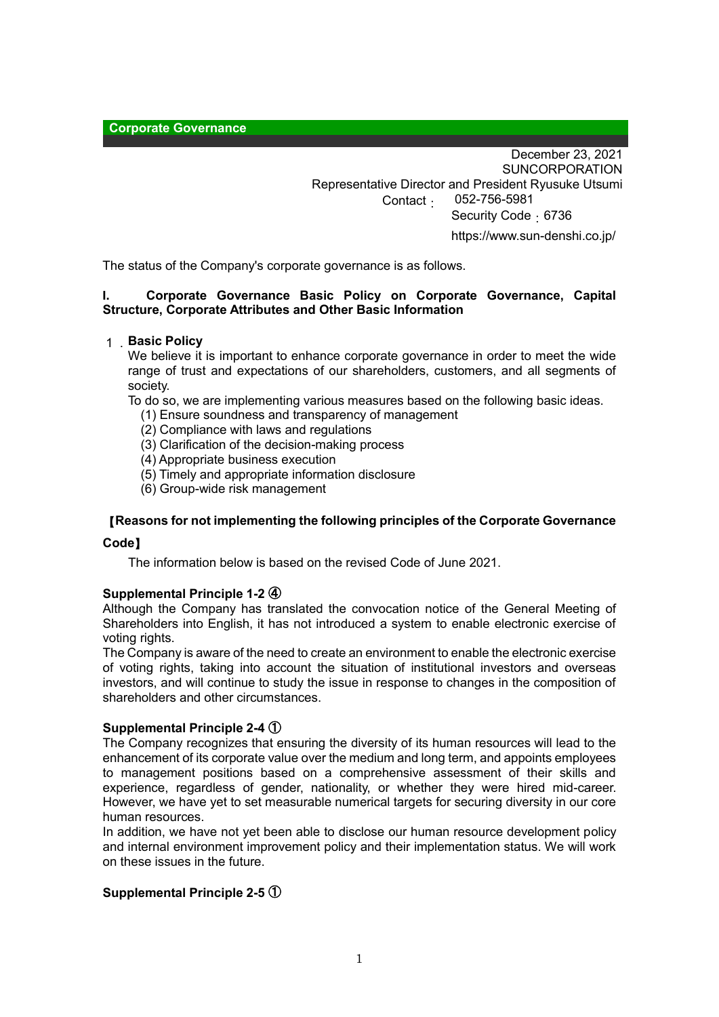**Corporate Governance**

December 23, 2021 SUNCORPORATION Representative Director and President Ryusuke Utsumi Contact: 052-756-5981 Security Code: 6736 https://www.sun-denshi.co.jp/

The status of the Company's corporate governance is as follows.

## **I. Corporate Governance Basic Policy on Corporate Governance, Capital Structure, Corporate Attributes and Other Basic Information**

## 1.**Basic Policy**

We believe it is important to enhance corporate governance in order to meet the wide range of trust and expectations of our shareholders, customers, and all segments of society.

To do so, we are implementing various measures based on the following basic ideas.

- (1) Ensure soundness and transparency of management
- (2) Compliance with laws and regulations
- (3) Clarification of the decision-making process
- (4) Appropriate business execution
- (5) Timely and appropriate information disclosure
- (6) Group-wide risk management

## 【**Reasons for not implementing the following principles of the Corporate Governance**

## **Code**】

The information below is based on the revised Code of June 2021.

## **Supplemental Principle 1-2** ④

Although the Company has translated the convocation notice of the General Meeting of Shareholders into English, it has not introduced a system to enable electronic exercise of voting rights.

The Company is aware of the need to create an environment to enable the electronic exercise of voting rights, taking into account the situation of institutional investors and overseas investors, and will continue to study the issue in response to changes in the composition of shareholders and other circumstances.

## **Supplemental Principle 2-4** ①

The Company recognizes that ensuring the diversity of its human resources will lead to the enhancement of its corporate value over the medium and long term, and appoints employees to management positions based on a comprehensive assessment of their skills and experience, regardless of gender, nationality, or whether they were hired mid-career. However, we have yet to set measurable numerical targets for securing diversity in our core human resources.

In addition, we have not yet been able to disclose our human resource development policy and internal environment improvement policy and their implementation status. We will work on these issues in the future.

## **Supplemental Principle 2-5** ①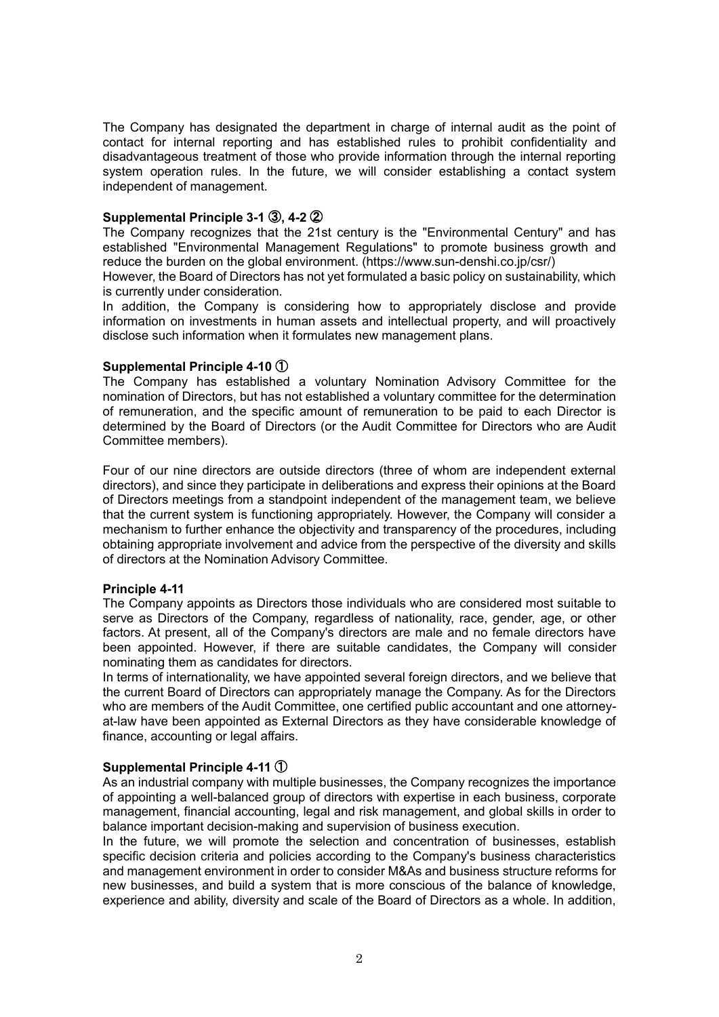The Company has designated the department in charge of internal audit as the point of contact for internal reporting and has established rules to prohibit confidentiality and disadvantageous treatment of those who provide information through the internal reporting system operation rules. In the future, we will consider establishing a contact system independent of management.

## **Supplemental Principle 3-1** ③**, 4-2** ②

The Company recognizes that the 21st century is the "Environmental Century" and has established "Environmental Management Regulations" to promote business growth and reduce the burden on the global environment. (https://www.sun-denshi.co.jp/csr/)

However, the Board of Directors has not yet formulated a basic policy on sustainability, which is currently under consideration.

In addition, the Company is considering how to appropriately disclose and provide information on investments in human assets and intellectual property, and will proactively disclose such information when it formulates new management plans.

## **Supplemental Principle 4-10** ①

The Company has established a voluntary Nomination Advisory Committee for the nomination of Directors, but has not established a voluntary committee for the determination of remuneration, and the specific amount of remuneration to be paid to each Director is determined by the Board of Directors (or the Audit Committee for Directors who are Audit Committee members).

Four of our nine directors are outside directors (three of whom are independent external directors), and since they participate in deliberations and express their opinions at the Board of Directors meetings from a standpoint independent of the management team, we believe that the current system is functioning appropriately. However, the Company will consider a mechanism to further enhance the objectivity and transparency of the procedures, including obtaining appropriate involvement and advice from the perspective of the diversity and skills of directors at the Nomination Advisory Committee.

## **Principle 4-11**

The Company appoints as Directors those individuals who are considered most suitable to serve as Directors of the Company, regardless of nationality, race, gender, age, or other factors. At present, all of the Company's directors are male and no female directors have been appointed. However, if there are suitable candidates, the Company will consider nominating them as candidates for directors.

In terms of internationality, we have appointed several foreign directors, and we believe that the current Board of Directors can appropriately manage the Company. As for the Directors who are members of the Audit Committee, one certified public accountant and one attorneyat-law have been appointed as External Directors as they have considerable knowledge of finance, accounting or legal affairs.

## **Supplemental Principle 4-11** ①

As an industrial company with multiple businesses, the Company recognizes the importance of appointing a well-balanced group of directors with expertise in each business, corporate management, financial accounting, legal and risk management, and global skills in order to balance important decision-making and supervision of business execution.

In the future, we will promote the selection and concentration of businesses, establish specific decision criteria and policies according to the Company's business characteristics and management environment in order to consider M&As and business structure reforms for new businesses, and build a system that is more conscious of the balance of knowledge, experience and ability, diversity and scale of the Board of Directors as a whole. In addition,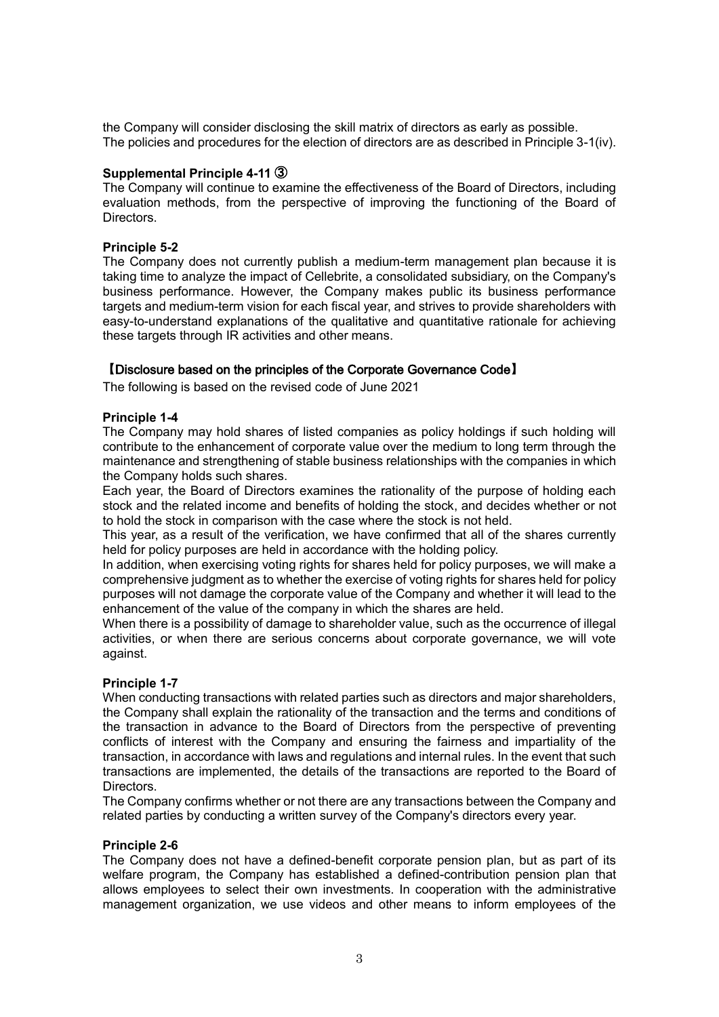the Company will consider disclosing the skill matrix of directors as early as possible. The policies and procedures for the election of directors are as described in Principle 3-1(iv).

## **Supplemental Principle 4-11** ③

The Company will continue to examine the effectiveness of the Board of Directors, including evaluation methods, from the perspective of improving the functioning of the Board of Directors.

## **Principle 5-2**

The Company does not currently publish a medium-term management plan because it is taking time to analyze the impact of Cellebrite, a consolidated subsidiary, on the Company's business performance. However, the Company makes public its business performance targets and medium-term vision for each fiscal year, and strives to provide shareholders with easy-to-understand explanations of the qualitative and quantitative rationale for achieving these targets through IR activities and other means.

## 【Disclosure based on the principles of the Corporate Governance Code】

The following is based on the revised code of June 2021

## **Principle 1-4**

The Company may hold shares of listed companies as policy holdings if such holding will contribute to the enhancement of corporate value over the medium to long term through the maintenance and strengthening of stable business relationships with the companies in which the Company holds such shares.

Each year, the Board of Directors examines the rationality of the purpose of holding each stock and the related income and benefits of holding the stock, and decides whether or not to hold the stock in comparison with the case where the stock is not held.

This year, as a result of the verification, we have confirmed that all of the shares currently held for policy purposes are held in accordance with the holding policy.

In addition, when exercising voting rights for shares held for policy purposes, we will make a comprehensive judgment as to whether the exercise of voting rights for shares held for policy purposes will not damage the corporate value of the Company and whether it will lead to the enhancement of the value of the company in which the shares are held.

When there is a possibility of damage to shareholder value, such as the occurrence of illegal activities, or when there are serious concerns about corporate governance, we will vote against.

## **Principle 1-7**

When conducting transactions with related parties such as directors and major shareholders, the Company shall explain the rationality of the transaction and the terms and conditions of the transaction in advance to the Board of Directors from the perspective of preventing conflicts of interest with the Company and ensuring the fairness and impartiality of the transaction, in accordance with laws and regulations and internal rules. In the event that such transactions are implemented, the details of the transactions are reported to the Board of Directors.

The Company confirms whether or not there are any transactions between the Company and related parties by conducting a written survey of the Company's directors every year.

## **Principle 2-6**

The Company does not have a defined-benefit corporate pension plan, but as part of its welfare program, the Company has established a defined-contribution pension plan that allows employees to select their own investments. In cooperation with the administrative management organization, we use videos and other means to inform employees of the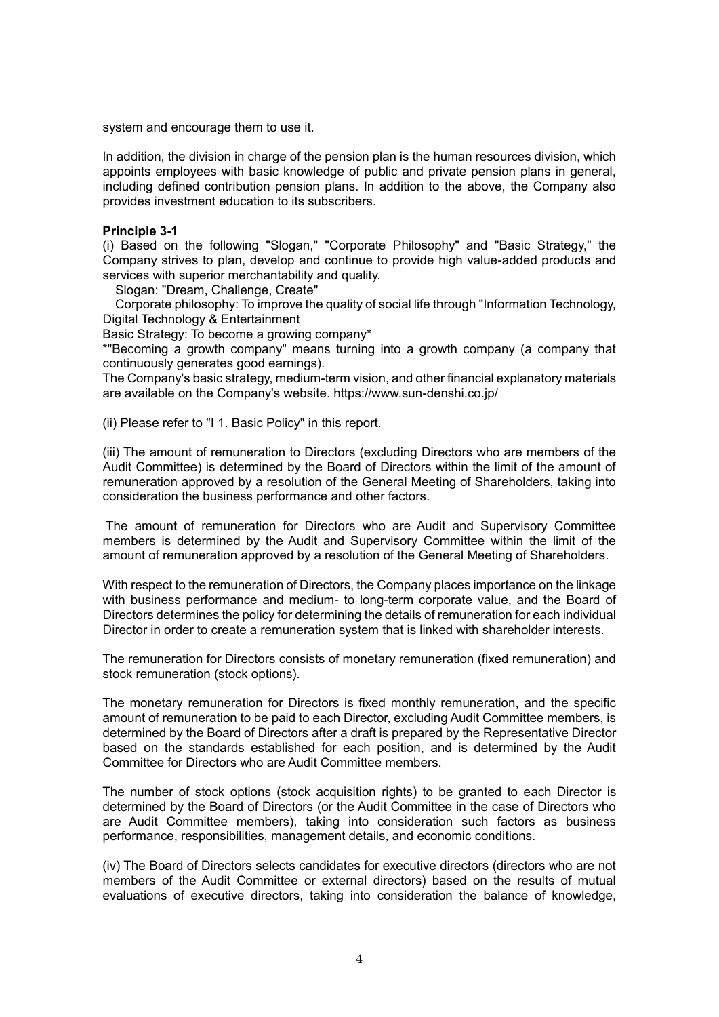system and encourage them to use it.

In addition, the division in charge of the pension plan is the human resources division, which appoints employees with basic knowledge of public and private pension plans in general, including defined contribution pension plans. In addition to the above, the Company also provides investment education to its subscribers.

## **Principle 3-1**

(i) Based on the following "Slogan," "Corporate Philosophy" and "Basic Strategy," the Company strives to plan, develop and continue to provide high value-added products and services with superior merchantability and quality.

Slogan: "Dream, Challenge, Create"

Corporate philosophy: To improve the quality of social life through "Information Technology, Digital Technology & Entertainment

Basic Strategy: To become a growing company\*

\*"Becoming a growth company" means turning into a growth company (a company that continuously generates good earnings).

The Company's basic strategy, medium-term vision, and other financial explanatory materials are available on the Company's website. https://www.sun-denshi.co.jp/

(ii) Please refer to "I 1. Basic Policy" in this report.

(iii) The amount of remuneration to Directors (excluding Directors who are members of the Audit Committee) is determined by the Board of Directors within the limit of the amount of remuneration approved by a resolution of the General Meeting of Shareholders, taking into consideration the business performance and other factors.

The amount of remuneration for Directors who are Audit and Supervisory Committee members is determined by the Audit and Supervisory Committee within the limit of the amount of remuneration approved by a resolution of the General Meeting of Shareholders.

With respect to the remuneration of Directors, the Company places importance on the linkage with business performance and medium- to long-term corporate value, and the Board of Directors determines the policy for determining the details of remuneration for each individual Director in order to create a remuneration system that is linked with shareholder interests.

The remuneration for Directors consists of monetary remuneration (fixed remuneration) and stock remuneration (stock options).

The monetary remuneration for Directors is fixed monthly remuneration, and the specific amount of remuneration to be paid to each Director, excluding Audit Committee members, is determined by the Board of Directors after a draft is prepared by the Representative Director based on the standards established for each position, and is determined by the Audit Committee for Directors who are Audit Committee members.

The number of stock options (stock acquisition rights) to be granted to each Director is determined by the Board of Directors (or the Audit Committee in the case of Directors who are Audit Committee members), taking into consideration such factors as business performance, responsibilities, management details, and economic conditions.

(iv) The Board of Directors selects candidates for executive directors (directors who are not members of the Audit Committee or external directors) based on the results of mutual evaluations of executive directors, taking into consideration the balance of knowledge,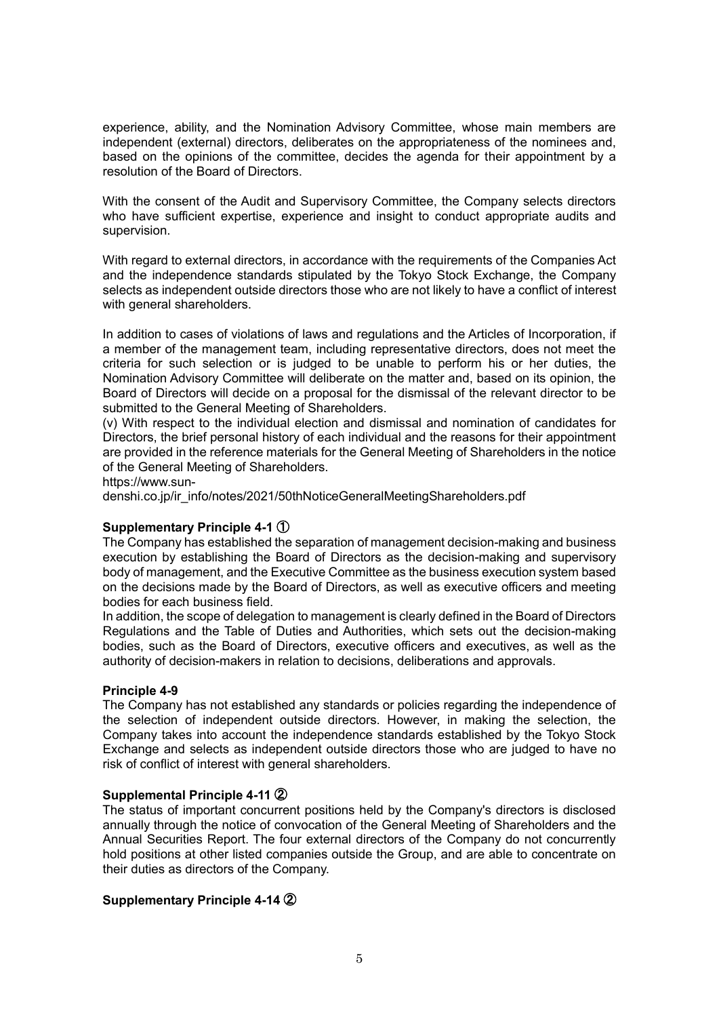experience, ability, and the Nomination Advisory Committee, whose main members are independent (external) directors, deliberates on the appropriateness of the nominees and, based on the opinions of the committee, decides the agenda for their appointment by a resolution of the Board of Directors.

With the consent of the Audit and Supervisory Committee, the Company selects directors who have sufficient expertise, experience and insight to conduct appropriate audits and supervision.

With regard to external directors, in accordance with the requirements of the Companies Act and the independence standards stipulated by the Tokyo Stock Exchange, the Company selects as independent outside directors those who are not likely to have a conflict of interest with general shareholders.

In addition to cases of violations of laws and regulations and the Articles of Incorporation, if a member of the management team, including representative directors, does not meet the criteria for such selection or is judged to be unable to perform his or her duties, the Nomination Advisory Committee will deliberate on the matter and, based on its opinion, the Board of Directors will decide on a proposal for the dismissal of the relevant director to be submitted to the General Meeting of Shareholders.

(v) With respect to the individual election and dismissal and nomination of candidates for Directors, the brief personal history of each individual and the reasons for their appointment are provided in the reference materials for the General Meeting of Shareholders in the notice of the General Meeting of Shareholders.

https://www.sun-

denshi.co.jp/ir\_info/notes/2021/50thNoticeGeneralMeetingShareholders.pdf

## **Supplementary Principle 4-1** ①

The Company has established the separation of management decision-making and business execution by establishing the Board of Directors as the decision-making and supervisory body of management, and the Executive Committee as the business execution system based on the decisions made by the Board of Directors, as well as executive officers and meeting bodies for each business field.

In addition, the scope of delegation to management is clearly defined in the Board of Directors Regulations and the Table of Duties and Authorities, which sets out the decision-making bodies, such as the Board of Directors, executive officers and executives, as well as the authority of decision-makers in relation to decisions, deliberations and approvals.

## **Principle 4-9**

The Company has not established any standards or policies regarding the independence of the selection of independent outside directors. However, in making the selection, the Company takes into account the independence standards established by the Tokyo Stock Exchange and selects as independent outside directors those who are judged to have no risk of conflict of interest with general shareholders.

## **Supplemental Principle 4-11** ②

The status of important concurrent positions held by the Company's directors is disclosed annually through the notice of convocation of the General Meeting of Shareholders and the Annual Securities Report. The four external directors of the Company do not concurrently hold positions at other listed companies outside the Group, and are able to concentrate on their duties as directors of the Company.

## **Supplementary Principle 4-14** ②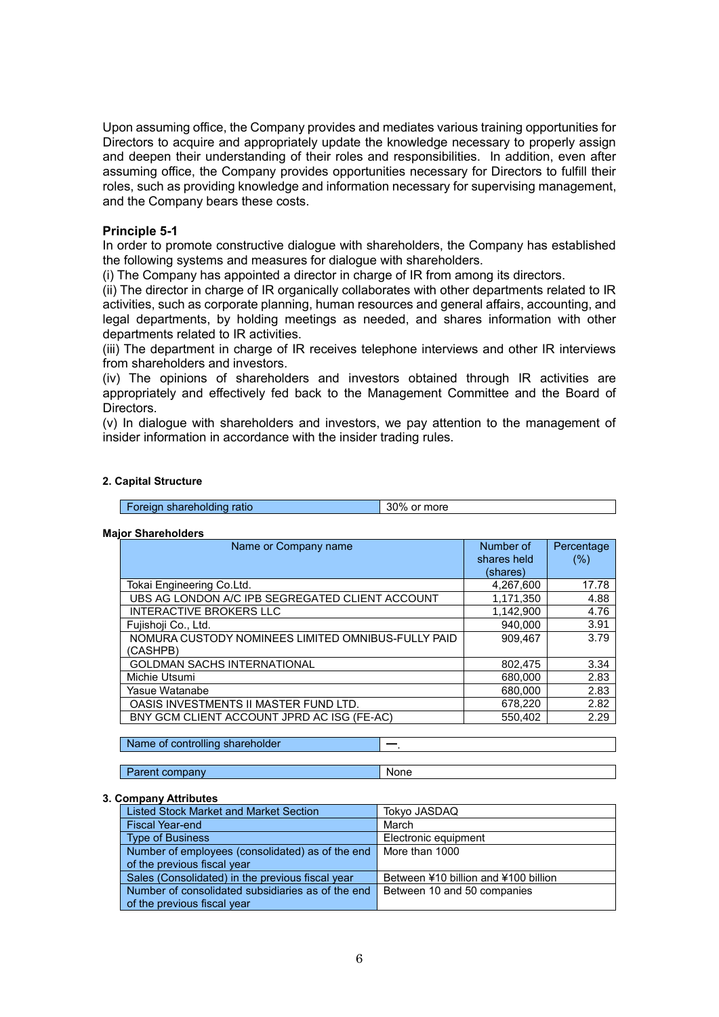Upon assuming office, the Company provides and mediates various training opportunities for Directors to acquire and appropriately update the knowledge necessary to properly assign and deepen their understanding of their roles and responsibilities. In addition, even after assuming office, the Company provides opportunities necessary for Directors to fulfill their roles, such as providing knowledge and information necessary for supervising management, and the Company bears these costs.

## **Principle 5-1**

In order to promote constructive dialogue with shareholders, the Company has established the following systems and measures for dialogue with shareholders.

(i) The Company has appointed a director in charge of IR from among its directors.

(ii) The director in charge of IR organically collaborates with other departments related to IR activities, such as corporate planning, human resources and general affairs, accounting, and legal departments, by holding meetings as needed, and shares information with other departments related to IR activities.

(iii) The department in charge of IR receives telephone interviews and other IR interviews from shareholders and investors.

(iv) The opinions of shareholders and investors obtained through IR activities are appropriately and effectively fed back to the Management Committee and the Board of **Directors** 

(v) In dialogue with shareholders and investors, we pay attention to the management of insider information in accordance with the insider trading rules.

#### **2. Capital Structure**

**Foreign shareholding ratio 30% or more** 

#### **Major Shareholders**

| Name or Company name                               | Number of   | Percentage |
|----------------------------------------------------|-------------|------------|
|                                                    | shares held | $(\%)$     |
|                                                    | (shares)    |            |
| Tokai Engineering Co.Ltd.                          | 4,267,600   | 17.78      |
| UBS AG LONDON A/C IPB SEGREGATED CLIENT ACCOUNT    | 1,171,350   | 4.88       |
| <b>INTERACTIVE BROKERS LLC</b>                     | 1,142,900   | 4.76       |
| Fujishoji Co., Ltd.                                | 940.000     | 3.91       |
| NOMURA CUSTODY NOMINEES LIMITED OMNIBUS-FULLY PAID | 909.467     | 3.79       |
| (CASHPB)                                           |             |            |
| <b>GOLDMAN SACHS INTERNATIONAL</b>                 | 802,475     | 3.34       |
| Michie Utsumi                                      | 680,000     | 2.83       |
| Yasue Watanabe                                     | 680.000     | 2.83       |
| OASIS INVESTMENTS II MASTER FUND LTD.              | 678,220     | 2.82       |
| BNY GCM CLIENT ACCOUNT JPRD AC ISG (FE-AC)         | 550.402     | 2.29       |
|                                                    |             |            |

Name of controlling shareholder

Parent company None

#### **3. Company Attributes**

| <b>Listed Stock Market and Market Section</b>     | Tokyo JASDAQ                         |
|---------------------------------------------------|--------------------------------------|
| <b>Fiscal Year-end</b>                            | March                                |
| <b>Type of Business</b>                           | Electronic equipment                 |
| Number of employees (consolidated) as of the end  | More than 1000                       |
| of the previous fiscal year                       |                                      |
| Sales (Consolidated) in the previous fiscal year  | Between ¥10 billion and ¥100 billion |
| Number of consolidated subsidiaries as of the end | Between 10 and 50 companies          |
| of the previous fiscal year                       |                                      |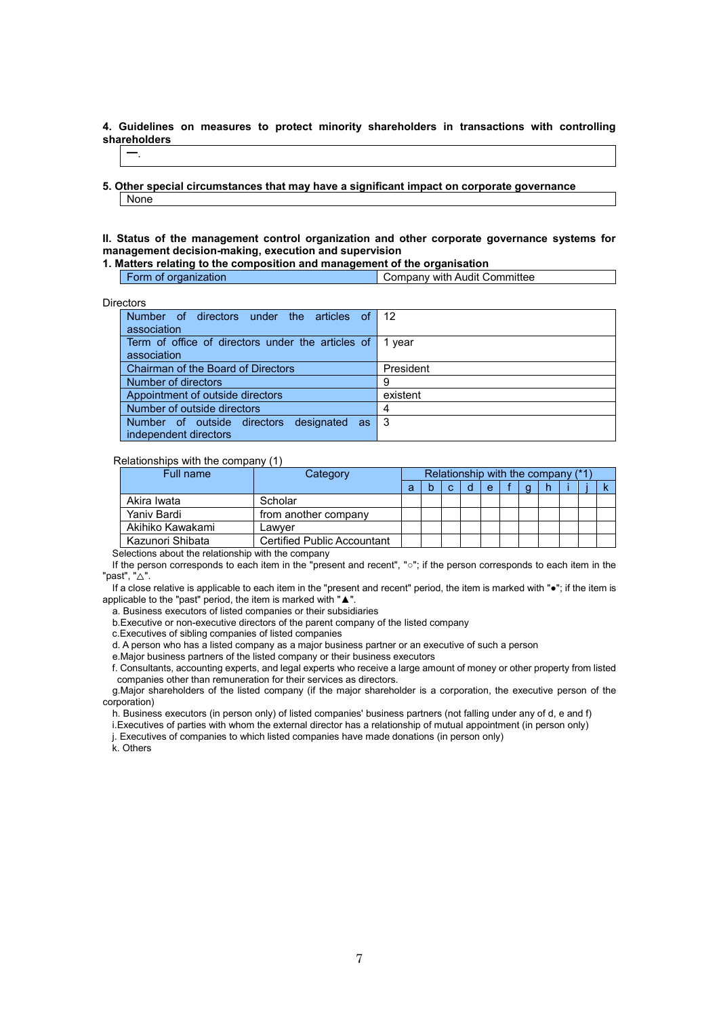**4. Guidelines on measures to protect minority shareholders in transactions with controlling shareholders**

### ━.

**5. Other special circumstances that may have a significant impact on corporate governance** None

**II. Status of the management control organization and other corporate governance systems for management decision-making, execution and supervision**

**1. Matters relating to the composition and management of the organisation**

|  | .<br>Ω | າmmittee<br>$   -$<br>Audit<br>with<br>----<br>nanv<br>$\cdot$ |
|--|--------|----------------------------------------------------------------|
|--|--------|----------------------------------------------------------------|

Directors

| cuus                                              |           |
|---------------------------------------------------|-----------|
| Number of directors under the articles of         | -12       |
| association                                       |           |
| Term of office of directors under the articles of | 1 vear    |
| association                                       |           |
| Chairman of the Board of Directors                | President |
| Number of directors                               | 9         |
| Appointment of outside directors                  | existent  |
| Number of outside directors                       | 4         |
| designated as<br>Number of outside directors      | -3        |
| independent directors                             |           |

#### Relationships with the company (1)

| Full name        | Category                           |   |   |   |  | Relationship with the company (*1) |  |  |
|------------------|------------------------------------|---|---|---|--|------------------------------------|--|--|
|                  |                                    | а | C | e |  |                                    |  |  |
| Akira Iwata      | Scholar                            |   |   |   |  |                                    |  |  |
| Yaniy Bardi      | from another company               |   |   |   |  |                                    |  |  |
| Akihiko Kawakami | Lawver                             |   |   |   |  |                                    |  |  |
| Kazunori Shibata | <b>Certified Public Accountant</b> |   |   |   |  |                                    |  |  |

Selections about the relationship with the company

If the person corresponds to each item in the "present and recent", "○"; if the person corresponds to each item in the "past", "△".

If a close relative is applicable to each item in the "present and recent" period, the item is marked with "●"; if the item is applicable to the "past" period, the item is marked with "▲".

a. Business executors of listed companies or their subsidiaries

b.Executive or non-executive directors of the parent company of the listed company

c.Executives of sibling companies of listed companies

d. A person who has a listed company as a major business partner or an executive of such a person

e.Major business partners of the listed company or their business executors

f. Consultants, accounting experts, and legal experts who receive a large amount of money or other property from listed companies other than remuneration for their services as directors.

g.Major shareholders of the listed company (if the major shareholder is a corporation, the executive person of the corporation)

h. Business executors (in person only) of listed companies' business partners (not falling under any of d, e and f)

i.Executives of parties with whom the external director has a relationship of mutual appointment (in person only)

j. Executives of companies to which listed companies have made donations (in person only)

k. Others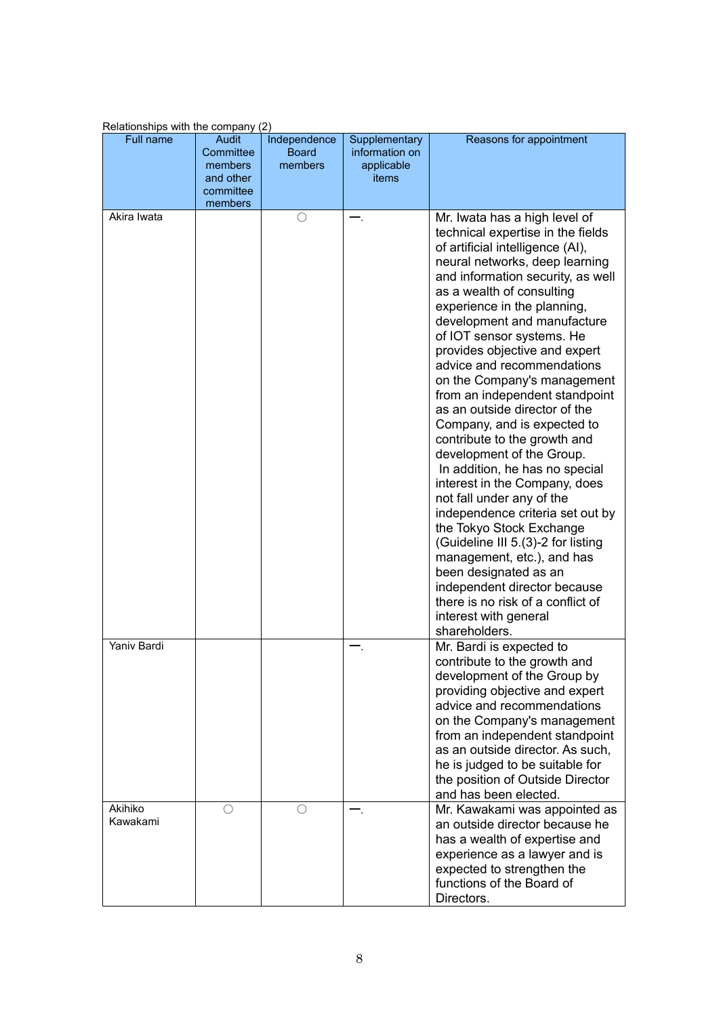| $\alpha$ is constructed in the company $\epsilon$ |           |              |                |                                    |
|---------------------------------------------------|-----------|--------------|----------------|------------------------------------|
| <b>Full name</b>                                  | Audit     | Independence | Supplementary  | Reasons for appointment            |
|                                                   | Committee | <b>Board</b> | information on |                                    |
|                                                   | members   | members      | applicable     |                                    |
|                                                   | and other |              | items          |                                    |
|                                                   | committee |              |                |                                    |
| Akira Iwata                                       | members   | О            |                |                                    |
|                                                   |           |              |                | Mr. Iwata has a high level of      |
|                                                   |           |              |                | technical expertise in the fields  |
|                                                   |           |              |                | of artificial intelligence (AI),   |
|                                                   |           |              |                | neural networks, deep learning     |
|                                                   |           |              |                | and information security, as well  |
|                                                   |           |              |                | as a wealth of consulting          |
|                                                   |           |              |                | experience in the planning,        |
|                                                   |           |              |                | development and manufacture        |
|                                                   |           |              |                | of IOT sensor systems. He          |
|                                                   |           |              |                | provides objective and expert      |
|                                                   |           |              |                | advice and recommendations         |
|                                                   |           |              |                | on the Company's management        |
|                                                   |           |              |                | from an independent standpoint     |
|                                                   |           |              |                | as an outside director of the      |
|                                                   |           |              |                | Company, and is expected to        |
|                                                   |           |              |                | contribute to the growth and       |
|                                                   |           |              |                | development of the Group.          |
|                                                   |           |              |                | In addition, he has no special     |
|                                                   |           |              |                | interest in the Company, does      |
|                                                   |           |              |                | not fall under any of the          |
|                                                   |           |              |                | independence criteria set out by   |
|                                                   |           |              |                | the Tokyo Stock Exchange           |
|                                                   |           |              |                | (Guideline III 5.(3)-2 for listing |
|                                                   |           |              |                |                                    |
|                                                   |           |              |                | management, etc.), and has         |
|                                                   |           |              |                | been designated as an              |
|                                                   |           |              |                | independent director because       |
|                                                   |           |              |                | there is no risk of a conflict of  |
|                                                   |           |              |                | interest with general              |
|                                                   |           |              |                | shareholders.                      |
| Yaniv Bardi                                       |           |              |                | Mr. Bardi is expected to           |
|                                                   |           |              |                | contribute to the growth and       |
|                                                   |           |              |                | development of the Group by        |
|                                                   |           |              |                | providing objective and expert     |
|                                                   |           |              |                | advice and recommendations         |
|                                                   |           |              |                | on the Company's management        |
|                                                   |           |              |                | from an independent standpoint     |
|                                                   |           |              |                | as an outside director. As such,   |
|                                                   |           |              |                | he is judged to be suitable for    |
|                                                   |           |              |                | the position of Outside Director   |
|                                                   |           |              |                | and has been elected.              |
| Akihiko                                           | ∩         | ∩            |                | Mr. Kawakami was appointed as      |
| Kawakami                                          |           |              |                | an outside director because he     |
|                                                   |           |              |                | has a wealth of expertise and      |
|                                                   |           |              |                | experience as a lawyer and is      |
|                                                   |           |              |                | expected to strengthen the         |
|                                                   |           |              |                | functions of the Board of          |
|                                                   |           |              |                | Directors.                         |
|                                                   |           |              |                |                                    |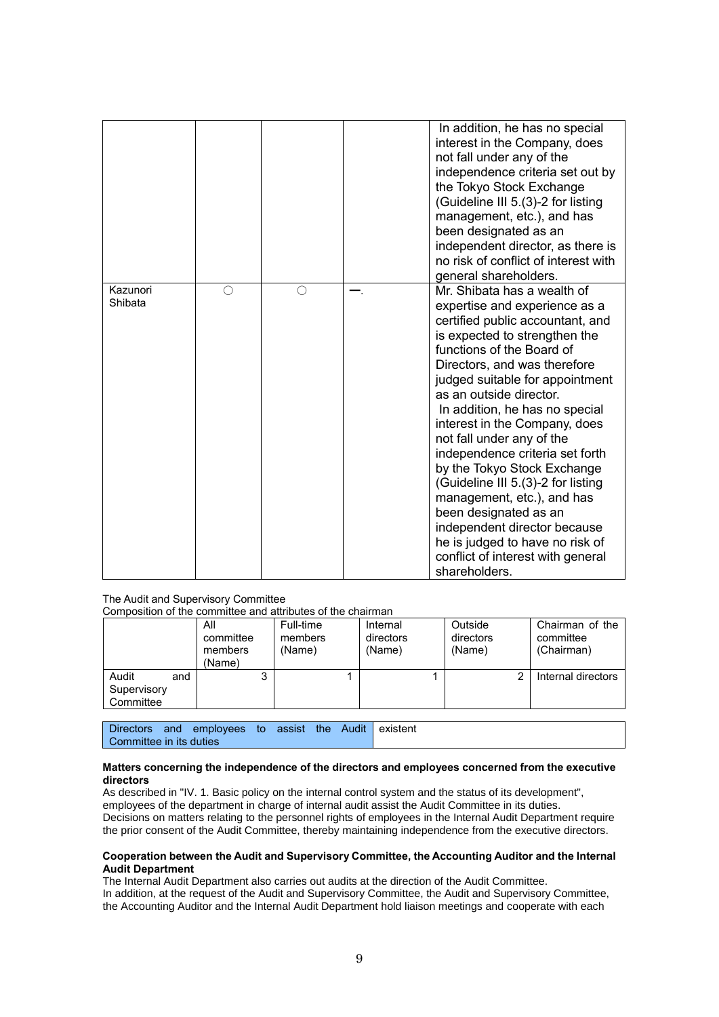|                     |   |   | In addition, he has no special<br>interest in the Company, does<br>not fall under any of the<br>independence criteria set out by<br>the Tokyo Stock Exchange<br>(Guideline III 5.(3)-2 for listing<br>management, etc.), and has<br>been designated as an<br>independent director, as there is<br>no risk of conflict of interest with<br>general shareholders.                                                                                                                                                                                                                                                                                      |
|---------------------|---|---|------------------------------------------------------------------------------------------------------------------------------------------------------------------------------------------------------------------------------------------------------------------------------------------------------------------------------------------------------------------------------------------------------------------------------------------------------------------------------------------------------------------------------------------------------------------------------------------------------------------------------------------------------|
| Kazunori<br>Shibata | ∩ | ∩ | Mr. Shibata has a wealth of<br>expertise and experience as a<br>certified public accountant, and<br>is expected to strengthen the<br>functions of the Board of<br>Directors, and was therefore<br>judged suitable for appointment<br>as an outside director.<br>In addition, he has no special<br>interest in the Company, does<br>not fall under any of the<br>independence criteria set forth<br>by the Tokyo Stock Exchange<br>(Guideline III 5.(3)-2 for listing<br>management, etc.), and has<br>been designated as an<br>independent director because<br>he is judged to have no risk of<br>conflict of interest with general<br>shareholders. |

#### The Audit and Supervisory Committee

Composition of the committee and attributes of the chairman

|                                   |     | All<br>committee<br>members<br>(Name) | Full-time<br>members<br>(Name) | Internal<br>directors<br>(Name) | Outside<br>directors<br>(Name) | Chairman of the<br>committee<br>(Chairman) |
|-----------------------------------|-----|---------------------------------------|--------------------------------|---------------------------------|--------------------------------|--------------------------------------------|
| Audit<br>Supervisory<br>Committee | and | ິ                                     |                                |                                 |                                | Internal directors                         |

|                         | Directors and employees to assist the Audit existent |  |  |  |
|-------------------------|------------------------------------------------------|--|--|--|
| Committee in its duties |                                                      |  |  |  |

#### **Matters concerning the independence of the directors and employees concerned from the executive directors**

As described in "IV. 1. Basic policy on the internal control system and the status of its development", employees of the department in charge of internal audit assist the Audit Committee in its duties. Decisions on matters relating to the personnel rights of employees in the Internal Audit Department require the prior consent of the Audit Committee, thereby maintaining independence from the executive directors.

#### **Cooperation between the Audit and Supervisory Committee, the Accounting Auditor and the Internal Audit Department**

The Internal Audit Department also carries out audits at the direction of the Audit Committee. In addition, at the request of the Audit and Supervisory Committee, the Audit and Supervisory Committee, the Accounting Auditor and the Internal Audit Department hold liaison meetings and cooperate with each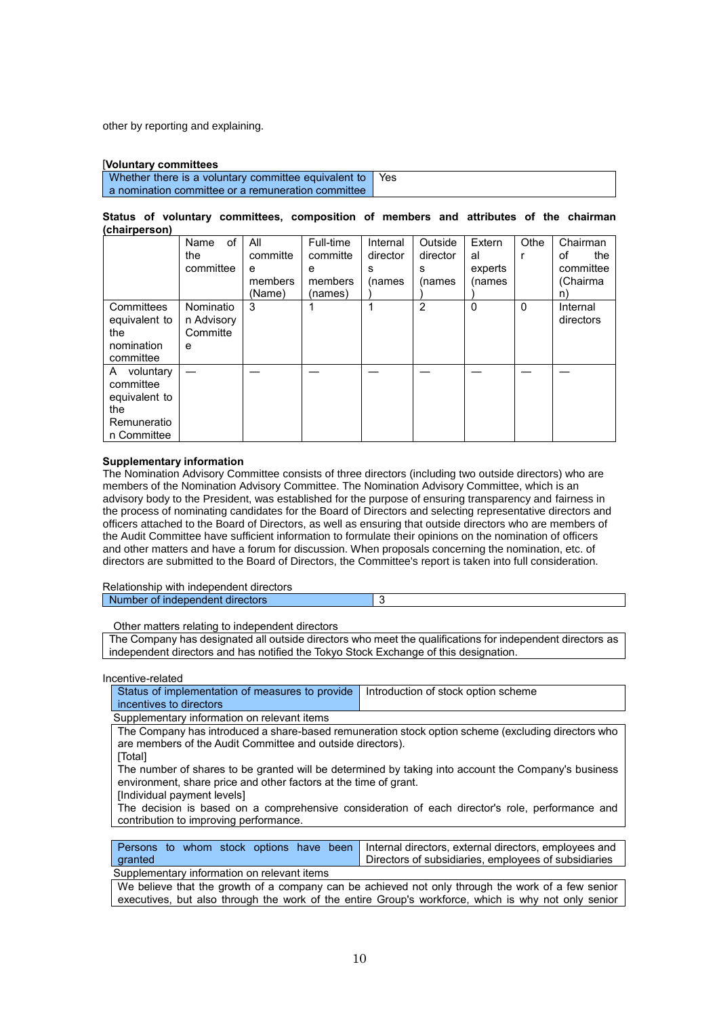other by reporting and explaining.

#### [**Voluntary committees**

Whether there is a voluntary committee equivalent to a nomination committee or a remuneration committee Yes

#### **Status of voluntary committees, composition of members and attributes of the chairman (chairperson)**

|                                                                                | οf<br>Name<br>the<br>committee           | All<br>committe<br>e<br>members<br>(Name) | Full-time<br>committe<br>e<br>members<br>(names) | Internal<br>director<br>s<br>(names | Outside<br>director<br>s<br>(names | Extern<br>al<br>experts<br>(names | Othe | Chairman<br>οf<br>the<br>committee<br>(Chairma |
|--------------------------------------------------------------------------------|------------------------------------------|-------------------------------------------|--------------------------------------------------|-------------------------------------|------------------------------------|-----------------------------------|------|------------------------------------------------|
| Committees<br>equivalent to<br>the<br>nomination<br>committee                  | Nominatio<br>n Advisory<br>Committe<br>e | 3                                         |                                                  |                                     | $\overline{2}$                     | $\mathbf{0}$                      | 0    | n)<br>Internal<br>directors                    |
| A voluntary<br>committee<br>equivalent to<br>the<br>Remuneratio<br>n Committee |                                          |                                           |                                                  |                                     |                                    |                                   |      |                                                |

#### **Supplementary information**

The Nomination Advisory Committee consists of three directors (including two outside directors) who are members of the Nomination Advisory Committee. The Nomination Advisory Committee, which is an advisory body to the President, was established for the purpose of ensuring transparency and fairness in the process of nominating candidates for the Board of Directors and selecting representative directors and officers attached to the Board of Directors, as well as ensuring that outside directors who are members of the Audit Committee have sufficient information to formulate their opinions on the nomination of officers and other matters and have a forum for discussion. When proposals concerning the nomination, etc. of directors are submitted to the Board of Directors, the Committee's report is taken into full consideration.

Relationship with independent directors

## Number of independent directors 3

Other matters relating to independent directors

The Company has designated all outside directors who meet the qualifications for independent directors as independent directors and has notified the Tokyo Stock Exchange of this designation.

#### Incentive-related

| Status of implementation of measures to provide   Introduction of stock option scheme |  |  |  |  |  |
|---------------------------------------------------------------------------------------|--|--|--|--|--|
| incentives to directors                                                               |  |  |  |  |  |
|                                                                                       |  |  |  |  |  |

#### Supplementary information on relevant items

The Company has introduced a share-based remuneration stock option scheme (excluding directors who are members of the Audit Committee and outside directors).

[Total]

The number of shares to be granted will be determined by taking into account the Company's business environment, share price and other factors at the time of grant.

[Individual payment levels]

The decision is based on a comprehensive consideration of each director's role, performance and contribution to improving performance.

|                                             | Persons to whom stock options have been Internal directors, external directors, employees and |
|---------------------------------------------|-----------------------------------------------------------------------------------------------|
| granted                                     | Directors of subsidiaries, employees of subsidiaries                                          |
| Supplementary information on relevant items |                                                                                               |

We believe that the growth of a company can be achieved not only through the work of a few senior executives, but also through the work of the entire Group's workforce, which is why not only senior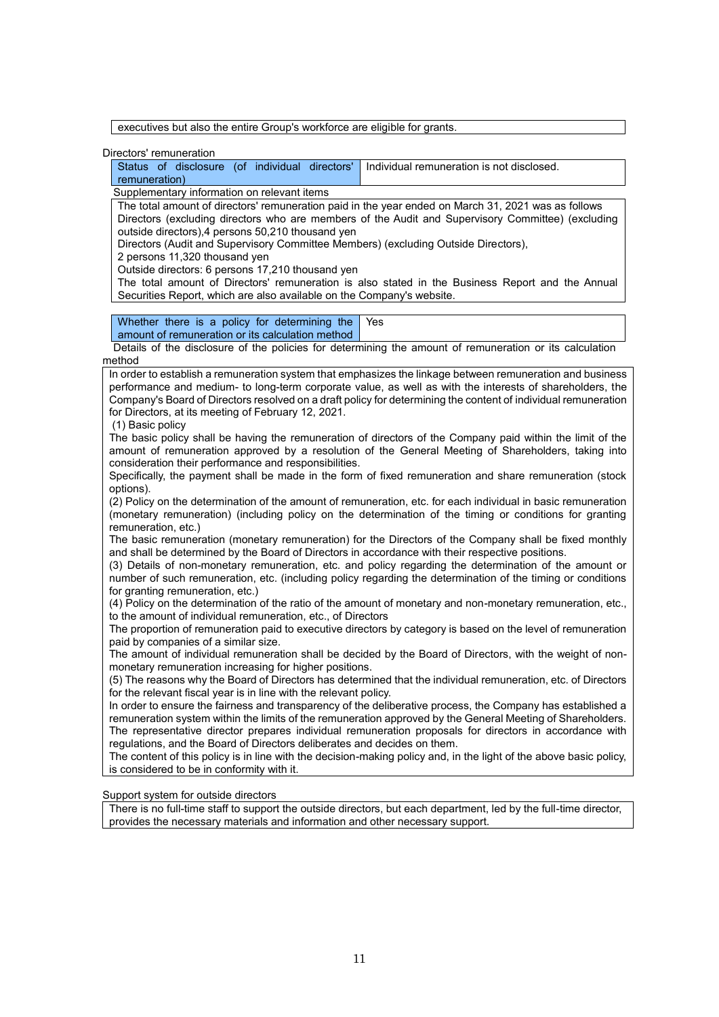executives but also the entire Group's workforce are eligible for grants.

Directors' remuneration

| Status of disclosure (of individual directors' Individual remuneration is not disclosed. |  |
|------------------------------------------------------------------------------------------|--|
| remuneration)                                                                            |  |

Supplementary information on relevant items

The total amount of directors' remuneration paid in the year ended on March 31, 2021 was as follows Directors (excluding directors who are members of the Audit and Supervisory Committee) (excluding outside directors),4 persons 50,210 thousand yen

Directors (Audit and Supervisory Committee Members) (excluding Outside Directors),

2 persons 11,320 thousand yen

Outside directors: 6 persons 17,210 thousand yen

The total amount of Directors' remuneration is also stated in the Business Report and the Annual Securities Report, which are also available on the Company's website.

Whether there is a policy for determining the amount of remuneration or its calculation method Yes

Details of the disclosure of the policies for determining the amount of remuneration or its calculation method

In order to establish a remuneration system that emphasizes the linkage between remuneration and business performance and medium- to long-term corporate value, as well as with the interests of shareholders, the Company's Board of Directors resolved on a draft policy for determining the content of individual remuneration for Directors, at its meeting of February 12, 2021.

(1) Basic policy

The basic policy shall be having the remuneration of directors of the Company paid within the limit of the amount of remuneration approved by a resolution of the General Meeting of Shareholders, taking into consideration their performance and responsibilities.

Specifically, the payment shall be made in the form of fixed remuneration and share remuneration (stock options).

(2) Policy on the determination of the amount of remuneration, etc. for each individual in basic remuneration (monetary remuneration) (including policy on the determination of the timing or conditions for granting remuneration, etc.)

The basic remuneration (monetary remuneration) for the Directors of the Company shall be fixed monthly and shall be determined by the Board of Directors in accordance with their respective positions.

(3) Details of non-monetary remuneration, etc. and policy regarding the determination of the amount or number of such remuneration, etc. (including policy regarding the determination of the timing or conditions for granting remuneration, etc.)

(4) Policy on the determination of the ratio of the amount of monetary and non-monetary remuneration, etc., to the amount of individual remuneration, etc., of Directors

The proportion of remuneration paid to executive directors by category is based on the level of remuneration paid by companies of a similar size.

The amount of individual remuneration shall be decided by the Board of Directors, with the weight of nonmonetary remuneration increasing for higher positions.

(5) The reasons why the Board of Directors has determined that the individual remuneration, etc. of Directors for the relevant fiscal year is in line with the relevant policy.

In order to ensure the fairness and transparency of the deliberative process, the Company has established a remuneration system within the limits of the remuneration approved by the General Meeting of Shareholders. The representative director prepares individual remuneration proposals for directors in accordance with regulations, and the Board of Directors deliberates and decides on them.

The content of this policy is in line with the decision-making policy and, in the light of the above basic policy, is considered to be in conformity with it.

Support system for outside directors

There is no full-time staff to support the outside directors, but each department, led by the full-time director, provides the necessary materials and information and other necessary support.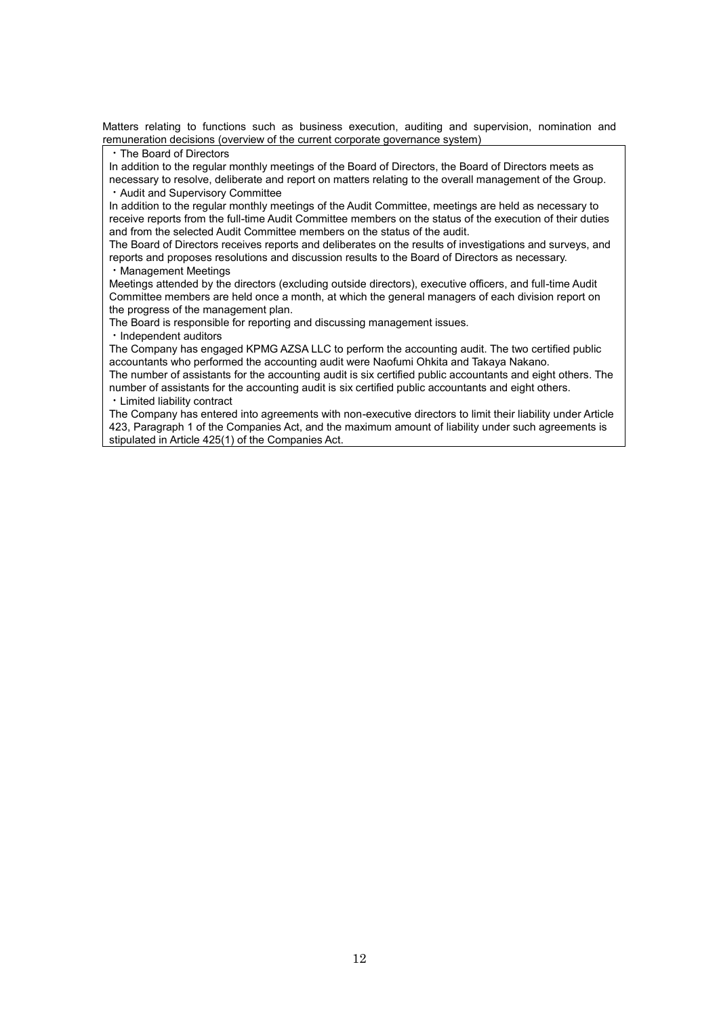Matters relating to functions such as business execution, auditing and supervision, nomination and remuneration decisions (overview of the current corporate governance system)

・The Board of Directors

In addition to the regular monthly meetings of the Board of Directors, the Board of Directors meets as necessary to resolve, deliberate and report on matters relating to the overall management of the Group. ・Audit and Supervisory Committee

In addition to the regular monthly meetings of the Audit Committee, meetings are held as necessary to receive reports from the full-time Audit Committee members on the status of the execution of their duties and from the selected Audit Committee members on the status of the audit.

The Board of Directors receives reports and deliberates on the results of investigations and surveys, and reports and proposes resolutions and discussion results to the Board of Directors as necessary. ・Management Meetings

Meetings attended by the directors (excluding outside directors), executive officers, and full-time Audit Committee members are held once a month, at which the general managers of each division report on the progress of the management plan.

The Board is responsible for reporting and discussing management issues.

・Independent auditors

The Company has engaged KPMG AZSA LLC to perform the accounting audit. The two certified public accountants who performed the accounting audit were Naofumi Ohkita and Takaya Nakano.

The number of assistants for the accounting audit is six certified public accountants and eight others. The number of assistants for the accounting audit is six certified public accountants and eight others. ・Limited liability contract

The Company has entered into agreements with non-executive directors to limit their liability under Article 423, Paragraph 1 of the Companies Act, and the maximum amount of liability under such agreements is stipulated in Article 425(1) of the Companies Act.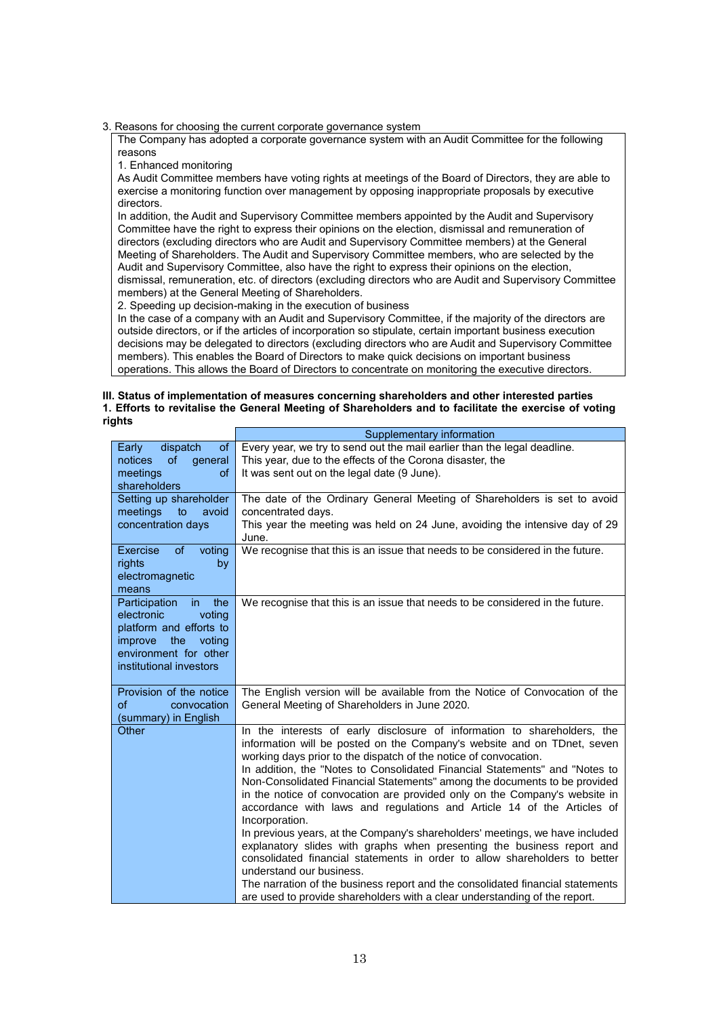3. Reasons for choosing the current corporate governance system

The Company has adopted a corporate governance system with an Audit Committee for the following reasons

1. Enhanced monitoring

As Audit Committee members have voting rights at meetings of the Board of Directors, they are able to exercise a monitoring function over management by opposing inappropriate proposals by executive directors.

In addition, the Audit and Supervisory Committee members appointed by the Audit and Supervisory Committee have the right to express their opinions on the election, dismissal and remuneration of directors (excluding directors who are Audit and Supervisory Committee members) at the General Meeting of Shareholders. The Audit and Supervisory Committee members, who are selected by the Audit and Supervisory Committee, also have the right to express their opinions on the election, dismissal, remuneration, etc. of directors (excluding directors who are Audit and Supervisory Committee members) at the General Meeting of Shareholders.

2. Speeding up decision-making in the execution of business

In the case of a company with an Audit and Supervisory Committee, if the majority of the directors are outside directors, or if the articles of incorporation so stipulate, certain important business execution decisions may be delegated to directors (excluding directors who are Audit and Supervisory Committee members). This enables the Board of Directors to make quick decisions on important business operations. This allows the Board of Directors to concentrate on monitoring the executive directors.

#### **III. Status of implementation of measures concerning shareholders and other interested parties 1. Efforts to revitalise the General Meeting of Shareholders and to facilitate the exercise of voting rights**

|                                                                                                                                                                | Supplementary information                                                                                                                                                                                                                                                                                                                                                                                                                                                                                                                                                                                                                                                                                                                                                                                                                                                                                                                                                                         |
|----------------------------------------------------------------------------------------------------------------------------------------------------------------|---------------------------------------------------------------------------------------------------------------------------------------------------------------------------------------------------------------------------------------------------------------------------------------------------------------------------------------------------------------------------------------------------------------------------------------------------------------------------------------------------------------------------------------------------------------------------------------------------------------------------------------------------------------------------------------------------------------------------------------------------------------------------------------------------------------------------------------------------------------------------------------------------------------------------------------------------------------------------------------------------|
| dispatch<br><b>of</b><br>Early<br>notices<br><b>of</b><br>qeneral                                                                                              | Every year, we try to send out the mail earlier than the legal deadline.<br>This year, due to the effects of the Corona disaster, the                                                                                                                                                                                                                                                                                                                                                                                                                                                                                                                                                                                                                                                                                                                                                                                                                                                             |
| meetings<br><b>of</b><br>shareholders                                                                                                                          | It was sent out on the legal date (9 June).                                                                                                                                                                                                                                                                                                                                                                                                                                                                                                                                                                                                                                                                                                                                                                                                                                                                                                                                                       |
| Setting up shareholder<br>meetings<br>to<br>avoid<br>concentration days                                                                                        | The date of the Ordinary General Meeting of Shareholders is set to avoid<br>concentrated days.<br>This year the meeting was held on 24 June, avoiding the intensive day of 29                                                                                                                                                                                                                                                                                                                                                                                                                                                                                                                                                                                                                                                                                                                                                                                                                     |
| Exercise<br><b>of</b><br>voting<br>by<br>rights<br>electromagnetic<br>means                                                                                    | June.<br>We recognise that this is an issue that needs to be considered in the future.                                                                                                                                                                                                                                                                                                                                                                                                                                                                                                                                                                                                                                                                                                                                                                                                                                                                                                            |
| Participation<br>the<br>in.<br>electronic<br>voting<br>platform and efforts to<br>improve<br>the<br>voting<br>environment for other<br>institutional investors | We recognise that this is an issue that needs to be considered in the future.                                                                                                                                                                                                                                                                                                                                                                                                                                                                                                                                                                                                                                                                                                                                                                                                                                                                                                                     |
| Provision of the notice<br>of<br>convocation<br>(summary) in English                                                                                           | The English version will be available from the Notice of Convocation of the<br>General Meeting of Shareholders in June 2020.                                                                                                                                                                                                                                                                                                                                                                                                                                                                                                                                                                                                                                                                                                                                                                                                                                                                      |
| Other                                                                                                                                                          | In the interests of early disclosure of information to shareholders, the<br>information will be posted on the Company's website and on TDnet, seven<br>working days prior to the dispatch of the notice of convocation.<br>In addition, the "Notes to Consolidated Financial Statements" and "Notes to<br>Non-Consolidated Financial Statements" among the documents to be provided<br>in the notice of convocation are provided only on the Company's website in<br>accordance with laws and regulations and Article 14 of the Articles of<br>Incorporation.<br>In previous years, at the Company's shareholders' meetings, we have included<br>explanatory slides with graphs when presenting the business report and<br>consolidated financial statements in order to allow shareholders to better<br>understand our business.<br>The narration of the business report and the consolidated financial statements<br>are used to provide shareholders with a clear understanding of the report. |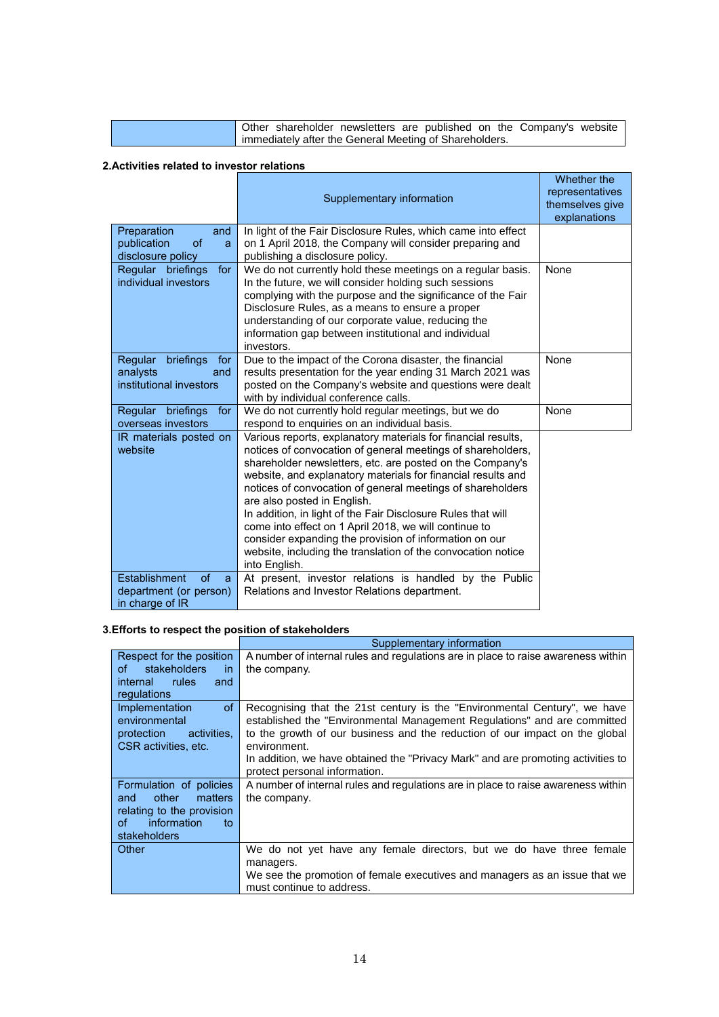|                                                        |  | Other shareholder newsletters are published on the Company's website |  |  |  |  |  |  |  |
|--------------------------------------------------------|--|----------------------------------------------------------------------|--|--|--|--|--|--|--|
| immediately after the General Meeting of Shareholders. |  |                                                                      |  |  |  |  |  |  |  |

# **2.Activities related to investor relations**

|                                                                               | Supplementary information                                                                                                                                                                                                                                                                                                                                                                                                                                                                                                                                                                                                  | Whether the<br>representatives<br>themselves give<br>explanations |
|-------------------------------------------------------------------------------|----------------------------------------------------------------------------------------------------------------------------------------------------------------------------------------------------------------------------------------------------------------------------------------------------------------------------------------------------------------------------------------------------------------------------------------------------------------------------------------------------------------------------------------------------------------------------------------------------------------------------|-------------------------------------------------------------------|
| Preparation<br>and<br>publication<br>of<br>a<br>disclosure policy             | In light of the Fair Disclosure Rules, which came into effect<br>on 1 April 2018, the Company will consider preparing and<br>publishing a disclosure policy.                                                                                                                                                                                                                                                                                                                                                                                                                                                               |                                                                   |
| for<br>Regular briefings<br>individual investors                              | We do not currently hold these meetings on a regular basis.<br>In the future, we will consider holding such sessions<br>complying with the purpose and the significance of the Fair<br>Disclosure Rules, as a means to ensure a proper<br>understanding of our corporate value, reducing the<br>information gap between institutional and individual<br>investors.                                                                                                                                                                                                                                                         | None                                                              |
| briefings<br>Regular<br>for<br>analysts<br>and<br>institutional investors     | Due to the impact of the Corona disaster, the financial<br>results presentation for the year ending 31 March 2021 was<br>posted on the Company's website and questions were dealt<br>with by individual conference calls.                                                                                                                                                                                                                                                                                                                                                                                                  | None                                                              |
| Regular briefings<br>for<br>overseas investors                                | We do not currently hold regular meetings, but we do<br>respond to enquiries on an individual basis.                                                                                                                                                                                                                                                                                                                                                                                                                                                                                                                       | None                                                              |
| IR materials posted on<br>website                                             | Various reports, explanatory materials for financial results,<br>notices of convocation of general meetings of shareholders,<br>shareholder newsletters, etc. are posted on the Company's<br>website, and explanatory materials for financial results and<br>notices of convocation of general meetings of shareholders<br>are also posted in English.<br>In addition, in light of the Fair Disclosure Rules that will<br>come into effect on 1 April 2018, we will continue to<br>consider expanding the provision of information on our<br>website, including the translation of the convocation notice<br>into English. |                                                                   |
| Establishment<br>$\sigma$ f<br>a<br>department (or person)<br>in charge of IR | At present, investor relations is handled by the Public<br>Relations and Investor Relations department.                                                                                                                                                                                                                                                                                                                                                                                                                                                                                                                    |                                                                   |

## **3.Efforts to respect the position of stakeholders**

|                           | Supplementary information                                                         |
|---------------------------|-----------------------------------------------------------------------------------|
| Respect for the position  | A number of internal rules and regulations are in place to raise awareness within |
| stakeholders<br>οf<br>in. | the company.                                                                      |
| internal rules<br>and     |                                                                                   |
| regulations               |                                                                                   |
| of.<br>Implementation     | Recognising that the 21st century is the "Environmental Century", we have         |
| environmental             | established the "Environmental Management Regulations" and are committed          |
| protection<br>activities, | to the growth of our business and the reduction of our impact on the global       |
| CSR activities, etc.      | environment.                                                                      |
|                           | In addition, we have obtained the "Privacy Mark" and are promoting activities to  |
|                           | protect personal information.                                                     |
| Formulation of policies   | A number of internal rules and regulations are in place to raise awareness within |
| other<br>matters<br>and   | the company.                                                                      |
| relating to the provision |                                                                                   |
| information<br>of<br>to   |                                                                                   |
| <b>stakeholders</b>       |                                                                                   |
| Other                     | We do not yet have any female directors, but we do have three female              |
|                           | managers.                                                                         |
|                           | We see the promotion of female executives and managers as an issue that we        |
|                           | must continue to address.                                                         |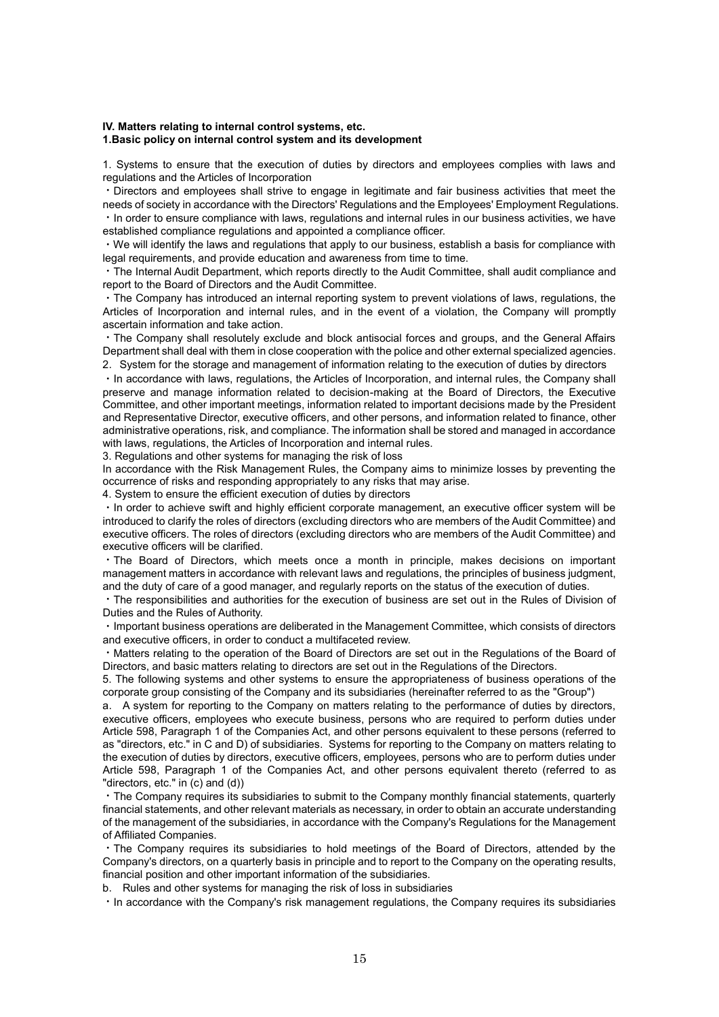#### **IV. Matters relating to internal control systems, etc. 1.Basic policy on internal control system and its development**

1. Systems to ensure that the execution of duties by directors and employees complies with laws and regulations and the Articles of Incorporation

・Directors and employees shall strive to engage in legitimate and fair business activities that meet the needs of society in accordance with the Directors' Regulations and the Employees' Employment Regulations. ・In order to ensure compliance with laws, regulations and internal rules in our business activities, we have

established compliance regulations and appointed a compliance officer.

・We will identify the laws and regulations that apply to our business, establish a basis for compliance with legal requirements, and provide education and awareness from time to time.

・The Internal Audit Department, which reports directly to the Audit Committee, shall audit compliance and report to the Board of Directors and the Audit Committee.

・The Company has introduced an internal reporting system to prevent violations of laws, regulations, the Articles of Incorporation and internal rules, and in the event of a violation, the Company will promptly ascertain information and take action.

・The Company shall resolutely exclude and block antisocial forces and groups, and the General Affairs Department shall deal with them in close cooperation with the police and other external specialized agencies. 2.System for the storage and management of information relating to the execution of duties by directors

・In accordance with laws, regulations, the Articles of Incorporation, and internal rules, the Company shall preserve and manage information related to decision-making at the Board of Directors, the Executive Committee, and other important meetings, information related to important decisions made by the President and Representative Director, executive officers, and other persons, and information related to finance, other administrative operations, risk, and compliance. The information shall be stored and managed in accordance with laws, regulations, the Articles of Incorporation and internal rules.

3. Regulations and other systems for managing the risk of loss

In accordance with the Risk Management Rules, the Company aims to minimize losses by preventing the occurrence of risks and responding appropriately to any risks that may arise.

4. System to ensure the efficient execution of duties by directors

・In order to achieve swift and highly efficient corporate management, an executive officer system will be introduced to clarify the roles of directors (excluding directors who are members of the Audit Committee) and executive officers. The roles of directors (excluding directors who are members of the Audit Committee) and executive officers will be clarified.

・The Board of Directors, which meets once a month in principle, makes decisions on important management matters in accordance with relevant laws and regulations, the principles of business judgment, and the duty of care of a good manager, and regularly reports on the status of the execution of duties.

・The responsibilities and authorities for the execution of business are set out in the Rules of Division of Duties and the Rules of Authority.

・Important business operations are deliberated in the Management Committee, which consists of directors and executive officers, in order to conduct a multifaceted review.

・Matters relating to the operation of the Board of Directors are set out in the Regulations of the Board of Directors, and basic matters relating to directors are set out in the Regulations of the Directors.

5. The following systems and other systems to ensure the appropriateness of business operations of the corporate group consisting of the Company and its subsidiaries (hereinafter referred to as the "Group")

a. A system for reporting to the Company on matters relating to the performance of duties by directors, executive officers, employees who execute business, persons who are required to perform duties under Article 598, Paragraph 1 of the Companies Act, and other persons equivalent to these persons (referred to as "directors, etc." in C and D) of subsidiaries. Systems for reporting to the Company on matters relating to the execution of duties by directors, executive officers, employees, persons who are to perform duties under Article 598, Paragraph 1 of the Companies Act, and other persons equivalent thereto (referred to as "directors, etc." in (c) and (d))

・The Company requires its subsidiaries to submit to the Company monthly financial statements, quarterly financial statements, and other relevant materials as necessary, in order to obtain an accurate understanding of the management of the subsidiaries, in accordance with the Company's Regulations for the Management of Affiliated Companies.

・The Company requires its subsidiaries to hold meetings of the Board of Directors, attended by the Company's directors, on a quarterly basis in principle and to report to the Company on the operating results, financial position and other important information of the subsidiaries.

b. Rules and other systems for managing the risk of loss in subsidiaries

・In accordance with the Company's risk management regulations, the Company requires its subsidiaries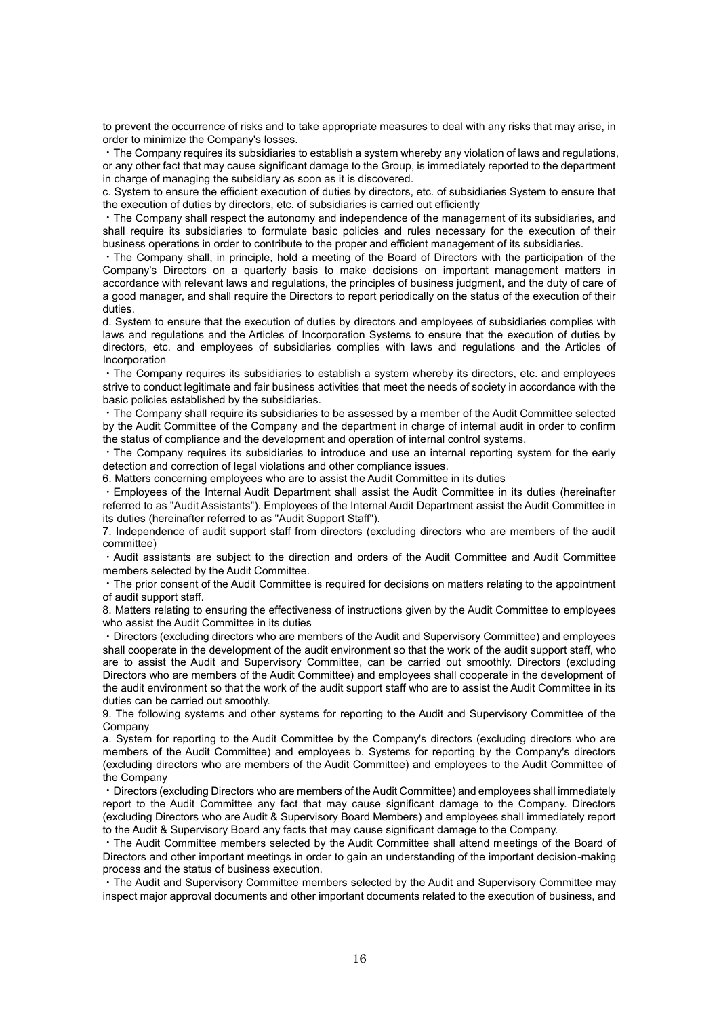to prevent the occurrence of risks and to take appropriate measures to deal with any risks that may arise, in order to minimize the Company's losses.

・The Company requires its subsidiaries to establish a system whereby any violation of laws and regulations, or any other fact that may cause significant damage to the Group, is immediately reported to the department in charge of managing the subsidiary as soon as it is discovered.

c. System to ensure the efficient execution of duties by directors, etc. of subsidiaries System to ensure that the execution of duties by directors, etc. of subsidiaries is carried out efficiently

・The Company shall respect the autonomy and independence of the management of its subsidiaries, and shall require its subsidiaries to formulate basic policies and rules necessary for the execution of their business operations in order to contribute to the proper and efficient management of its subsidiaries.

・The Company shall, in principle, hold a meeting of the Board of Directors with the participation of the Company's Directors on a quarterly basis to make decisions on important management matters in accordance with relevant laws and regulations, the principles of business judgment, and the duty of care of a good manager, and shall require the Directors to report periodically on the status of the execution of their duties.

d. System to ensure that the execution of duties by directors and employees of subsidiaries complies with laws and regulations and the Articles of Incorporation Systems to ensure that the execution of duties by directors, etc. and employees of subsidiaries complies with laws and regulations and the Articles of Incorporation

The Company requires its subsidiaries to establish a system whereby its directors, etc. and employees strive to conduct legitimate and fair business activities that meet the needs of society in accordance with the basic policies established by the subsidiaries.

・The Company shall require its subsidiaries to be assessed by a member of the Audit Committee selected by the Audit Committee of the Company and the department in charge of internal audit in order to confirm the status of compliance and the development and operation of internal control systems.

・The Company requires its subsidiaries to introduce and use an internal reporting system for the early detection and correction of legal violations and other compliance issues.

6. Matters concerning employees who are to assist the Audit Committee in its duties

・Employees of the Internal Audit Department shall assist the Audit Committee in its duties (hereinafter referred to as "Audit Assistants"). Employees of the Internal Audit Department assist the Audit Committee in its duties (hereinafter referred to as "Audit Support Staff").

7. Independence of audit support staff from directors (excluding directors who are members of the audit committee)

・Audit assistants are subject to the direction and orders of the Audit Committee and Audit Committee members selected by the Audit Committee.

・The prior consent of the Audit Committee is required for decisions on matters relating to the appointment of audit support staff.

8. Matters relating to ensuring the effectiveness of instructions given by the Audit Committee to employees who assist the Audit Committee in its duties

・Directors (excluding directors who are members of the Audit and Supervisory Committee) and employees shall cooperate in the development of the audit environment so that the work of the audit support staff, who are to assist the Audit and Supervisory Committee, can be carried out smoothly. Directors (excluding Directors who are members of the Audit Committee) and employees shall cooperate in the development of the audit environment so that the work of the audit support staff who are to assist the Audit Committee in its duties can be carried out smoothly.

9. The following systems and other systems for reporting to the Audit and Supervisory Committee of the Company

a. System for reporting to the Audit Committee by the Company's directors (excluding directors who are members of the Audit Committee) and employees b. Systems for reporting by the Company's directors (excluding directors who are members of the Audit Committee) and employees to the Audit Committee of the Company

・Directors (excluding Directors who are members of the Audit Committee) and employees shall immediately report to the Audit Committee any fact that may cause significant damage to the Company. Directors (excluding Directors who are Audit & Supervisory Board Members) and employees shall immediately report to the Audit & Supervisory Board any facts that may cause significant damage to the Company.

・The Audit Committee members selected by the Audit Committee shall attend meetings of the Board of Directors and other important meetings in order to gain an understanding of the important decision-making process and the status of business execution.

・The Audit and Supervisory Committee members selected by the Audit and Supervisory Committee may inspect major approval documents and other important documents related to the execution of business, and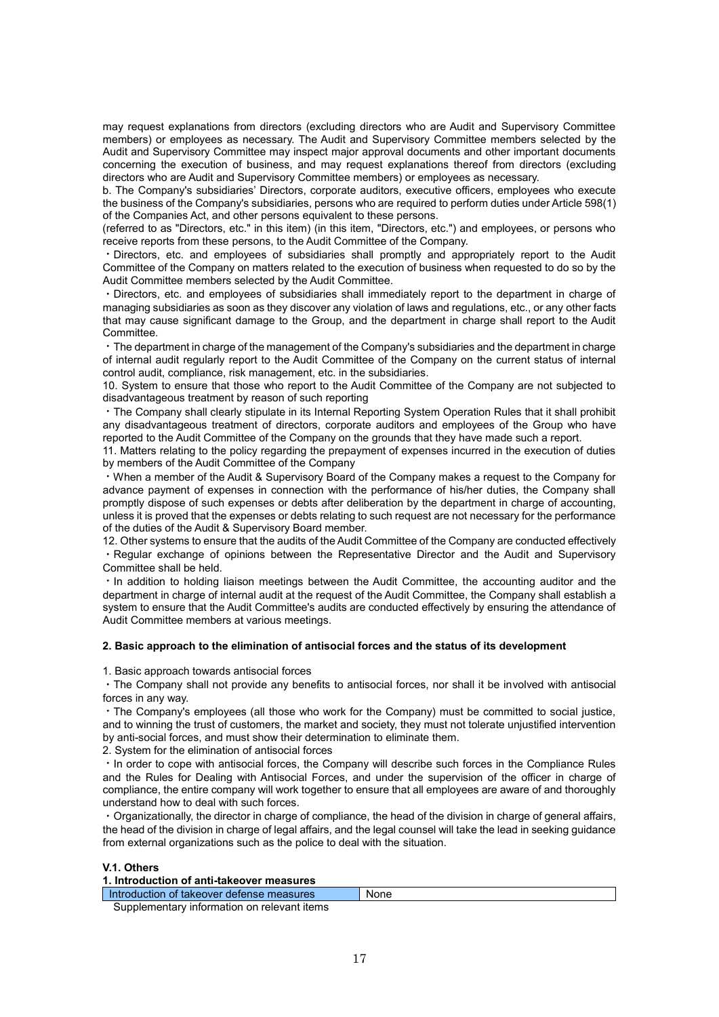may request explanations from directors (excluding directors who are Audit and Supervisory Committee members) or employees as necessary. The Audit and Supervisory Committee members selected by the Audit and Supervisory Committee may inspect major approval documents and other important documents concerning the execution of business, and may request explanations thereof from directors (excluding directors who are Audit and Supervisory Committee members) or employees as necessary.

b. The Company's subsidiaries' Directors, corporate auditors, executive officers, employees who execute the business of the Company's subsidiaries, persons who are required to perform duties under Article 598(1) of the Companies Act, and other persons equivalent to these persons.

(referred to as "Directors, etc." in this item) (in this item, "Directors, etc.") and employees, or persons who receive reports from these persons, to the Audit Committee of the Company.

・Directors, etc. and employees of subsidiaries shall promptly and appropriately report to the Audit Committee of the Company on matters related to the execution of business when requested to do so by the Audit Committee members selected by the Audit Committee.

・Directors, etc. and employees of subsidiaries shall immediately report to the department in charge of managing subsidiaries as soon as they discover any violation of laws and regulations, etc., or any other facts that may cause significant damage to the Group, and the department in charge shall report to the Audit Committee.

・The department in charge of the management of the Company's subsidiaries and the department in charge of internal audit regularly report to the Audit Committee of the Company on the current status of internal control audit, compliance, risk management, etc. in the subsidiaries.

10. System to ensure that those who report to the Audit Committee of the Company are not subjected to disadvantageous treatment by reason of such reporting

・The Company shall clearly stipulate in its Internal Reporting System Operation Rules that it shall prohibit any disadvantageous treatment of directors, corporate auditors and employees of the Group who have reported to the Audit Committee of the Company on the grounds that they have made such a report.

11. Matters relating to the policy regarding the prepayment of expenses incurred in the execution of duties by members of the Audit Committee of the Company

・When a member of the Audit & Supervisory Board of the Company makes a request to the Company for advance payment of expenses in connection with the performance of his/her duties, the Company shall promptly dispose of such expenses or debts after deliberation by the department in charge of accounting, unless it is proved that the expenses or debts relating to such request are not necessary for the performance of the duties of the Audit & Supervisory Board member.

12. Other systems to ensure that the audits of the Audit Committee of the Company are conducted effectively ・Regular exchange of opinions between the Representative Director and the Audit and Supervisory Committee shall be held.

・In addition to holding liaison meetings between the Audit Committee, the accounting auditor and the department in charge of internal audit at the request of the Audit Committee, the Company shall establish a system to ensure that the Audit Committee's audits are conducted effectively by ensuring the attendance of Audit Committee members at various meetings.

#### **2. Basic approach to the elimination of antisocial forces and the status of its development**

1. Basic approach towards antisocial forces

・The Company shall not provide any benefits to antisocial forces, nor shall it be involved with antisocial forces in any way.

・The Company's employees (all those who work for the Company) must be committed to social justice, and to winning the trust of customers, the market and society, they must not tolerate unjustified intervention by anti-social forces, and must show their determination to eliminate them.

2. System for the elimination of antisocial forces

・In order to cope with antisocial forces, the Company will describe such forces in the Compliance Rules and the Rules for Dealing with Antisocial Forces, and under the supervision of the officer in charge of compliance, the entire company will work together to ensure that all employees are aware of and thoroughly understand how to deal with such forces.

・Organizationally, the director in charge of compliance, the head of the division in charge of general affairs, the head of the division in charge of legal affairs, and the legal counsel will take the lead in seeking guidance from external organizations such as the police to deal with the situation.

#### **V.1. Others**

| 1. Introduction of anti-takeover measures   |      |  |
|---------------------------------------------|------|--|
| I Introduction of takeover defense measures | None |  |
| Supplementary information on relevant items |      |  |